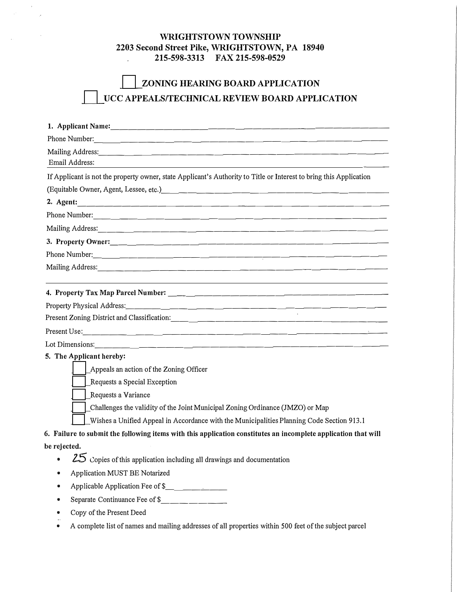## **WRIGHTSTOWN TOWNSHIP 2203 Second Street Pike, WRIGHTSTOWN, PA 18940 215-598-3313 FAX 215-598-0529**

## **ZONING HEARING BOARD APPLICATION UCC APPEALS/TECHNICAL REVIEW BOARD APPLICATION**

| Email Address:<br>If Applicant is not the property owner, state Applicant's Authority to Title or Interest to bring this Application |  |  |  |  |                                                                                                                                                                                                                                  |  |  |  |  |  |
|--------------------------------------------------------------------------------------------------------------------------------------|--|--|--|--|----------------------------------------------------------------------------------------------------------------------------------------------------------------------------------------------------------------------------------|--|--|--|--|--|
|                                                                                                                                      |  |  |  |  | (Equitable Owner, Agent, Lessee, etc.)<br>and the contract of the contract of the contract of the contract of the contract of the contract of the contract of the contract of the contract of the contract of the contract of th |  |  |  |  |  |
|                                                                                                                                      |  |  |  |  |                                                                                                                                                                                                                                  |  |  |  |  |  |
|                                                                                                                                      |  |  |  |  |                                                                                                                                                                                                                                  |  |  |  |  |  |
|                                                                                                                                      |  |  |  |  |                                                                                                                                                                                                                                  |  |  |  |  |  |
|                                                                                                                                      |  |  |  |  |                                                                                                                                                                                                                                  |  |  |  |  |  |
|                                                                                                                                      |  |  |  |  |                                                                                                                                                                                                                                  |  |  |  |  |  |
|                                                                                                                                      |  |  |  |  |                                                                                                                                                                                                                                  |  |  |  |  |  |
|                                                                                                                                      |  |  |  |  |                                                                                                                                                                                                                                  |  |  |  |  |  |
|                                                                                                                                      |  |  |  |  |                                                                                                                                                                                                                                  |  |  |  |  |  |
|                                                                                                                                      |  |  |  |  |                                                                                                                                                                                                                                  |  |  |  |  |  |
| Lot Dimensions:                                                                                                                      |  |  |  |  |                                                                                                                                                                                                                                  |  |  |  |  |  |
| 5. The Applicant hereby:                                                                                                             |  |  |  |  |                                                                                                                                                                                                                                  |  |  |  |  |  |
| Appeals an action of the Zoning Officer                                                                                              |  |  |  |  |                                                                                                                                                                                                                                  |  |  |  |  |  |
| Requests a Special Exception                                                                                                         |  |  |  |  |                                                                                                                                                                                                                                  |  |  |  |  |  |
| Requests a Variance                                                                                                                  |  |  |  |  |                                                                                                                                                                                                                                  |  |  |  |  |  |
| Challenges the validity of the Joint Municipal Zoning Ordinance (JMZO) or Map                                                        |  |  |  |  |                                                                                                                                                                                                                                  |  |  |  |  |  |
| Wishes a Unified Appeal in Accordance with the Municipalities Planning Code Section 913.1                                            |  |  |  |  |                                                                                                                                                                                                                                  |  |  |  |  |  |
| 6. Failure to submit the following items with this application constitutes an incomplete application that will                       |  |  |  |  |                                                                                                                                                                                                                                  |  |  |  |  |  |
| be rejected.                                                                                                                         |  |  |  |  |                                                                                                                                                                                                                                  |  |  |  |  |  |
| $25$ Copies of this application including all drawings and documentation<br>۰                                                        |  |  |  |  |                                                                                                                                                                                                                                  |  |  |  |  |  |
| Application MUST BE Notarized                                                                                                        |  |  |  |  |                                                                                                                                                                                                                                  |  |  |  |  |  |
| Applicable Application Fee of \$<br>۰                                                                                                |  |  |  |  |                                                                                                                                                                                                                                  |  |  |  |  |  |
| 0                                                                                                                                    |  |  |  |  |                                                                                                                                                                                                                                  |  |  |  |  |  |
| Copy of the Present Deed<br>0                                                                                                        |  |  |  |  |                                                                                                                                                                                                                                  |  |  |  |  |  |
| A complete list of names and mailing addresses of all properties within 500 feet of the subject parcel<br>۰                          |  |  |  |  |                                                                                                                                                                                                                                  |  |  |  |  |  |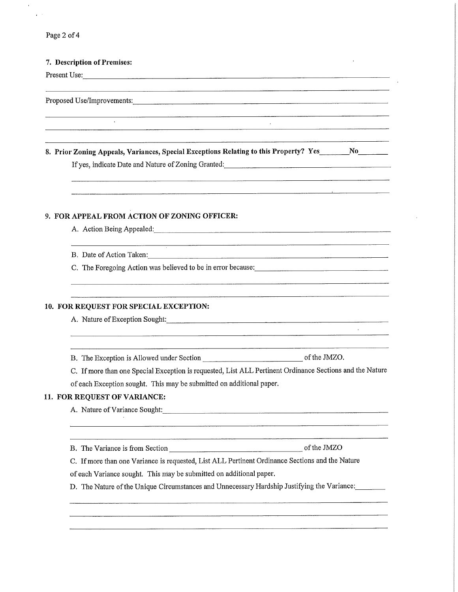$\alpha$  $\mathbf{y}^{(i)}$  .

## 7. Description of Premises:

Present Use:

| Proposed Use/Improvements: Note and the set of the set of the set of the set of the set of the set of the set of the set of the set of the set of the set of the set of the set of the set of the set of the set of the set of |
|--------------------------------------------------------------------------------------------------------------------------------------------------------------------------------------------------------------------------------|
| <u>. De la completa de la completa de la completa de la completa de la completa de la completa de la completa de l</u>                                                                                                         |
| 8. Prior Zoning Appeals, Variances, Special Exceptions Relating to this Property? Yes______No______                                                                                                                            |
| If yes, indicate Date and Nature of Zoning Granted: Mathematic Contract of Zoning Granted:                                                                                                                                     |
| 9. FOR APPEAL FROM ACTION OF ZONING OFFICER:                                                                                                                                                                                   |
| A. Action Being Appealed: Manual Communication of the Action Being Appealed:                                                                                                                                                   |
| B. Date of Action Taken: Maria Communication of Action Taken:                                                                                                                                                                  |
| C. The Foregoing Action was believed to be in error because:                                                                                                                                                                   |
| 10. FOR REQUEST FOR SPECIAL EXCEPTION:<br>A. Nature of Exception Sought: Nature of Exception Sought:                                                                                                                           |
|                                                                                                                                                                                                                                |
|                                                                                                                                                                                                                                |
| C. If more than one Special Exception is requested, List ALL Pertinent Ordinance Sections and the Nature<br>of each Exception sought. This may be submitted on additional paper.                                               |
| 11. FOR REQUEST OF VARIANCE:                                                                                                                                                                                                   |
| A. Nature of Variance Sought:                                                                                                                                                                                                  |
| of the JMZO<br>B. The Variance is from Section                                                                                                                                                                                 |
| C. If more than one Variance is requested, List ALL Pertinent Ordinance Sections and the Nature                                                                                                                                |
| of each Variance sought. This may be submitted on additional paper.                                                                                                                                                            |
| D. The Nature of the Unique Circumstances and Unnecessary Hardship Justifying the Variance:                                                                                                                                    |
|                                                                                                                                                                                                                                |
|                                                                                                                                                                                                                                |

 $\mathcal{A}^{\text{max}}$ 

 $\bar{z}$ 

 $\hat{\mathcal{A}}$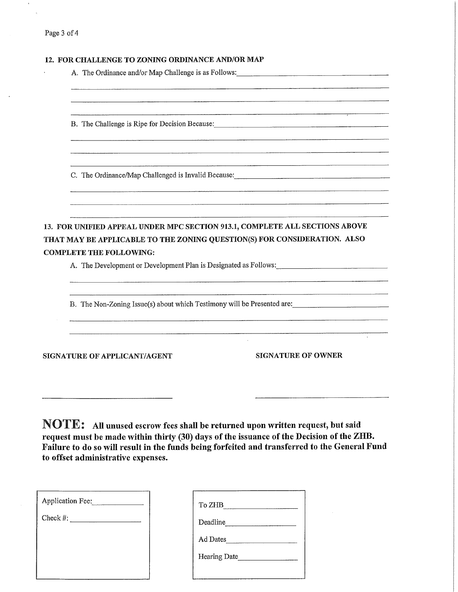$\cdot$ 

| B. The Challenge is Ripe for Decision Because: Manual Channel Challenge is Ripe for Decision Because: |                                                                                                                                                                                                                             |  |  |
|-------------------------------------------------------------------------------------------------------|-----------------------------------------------------------------------------------------------------------------------------------------------------------------------------------------------------------------------------|--|--|
|                                                                                                       | C. The Ordinance/Map Challenged is Invalid Because: Campenham Communication of the Ordinance/Map Challenged is Invalid Because:                                                                                             |  |  |
|                                                                                                       |                                                                                                                                                                                                                             |  |  |
| <b>COMPLETE THE FOLLOWING:</b>                                                                        | 13. FOR UNIFIED APPEAL UNDER MPC SECTION 913.1, COMPLETE ALL SECTIONS ABOVE<br>THAT MAY BE APPLICABLE TO THE ZONING QUESTION(S) FOR CONSIDERATION. ALSO<br>A. The Development or Development Plan is Designated as Follows: |  |  |
|                                                                                                       | B. The Non-Zoning Issue(s) about which Testimony will be Presented are:                                                                                                                                                     |  |  |

request must be made within thirty (30) days of the issuance of the Decision of the ZHB. Failure to do so will result in the funds being forfeited and transferred to the General Fund to offset administrative expenses.

| Application Fee:<br>Check $#$ : | To ZHB<br>Deadline<br>Ad Dates<br>Hearing Date |
|---------------------------------|------------------------------------------------|
|                                 |                                                |